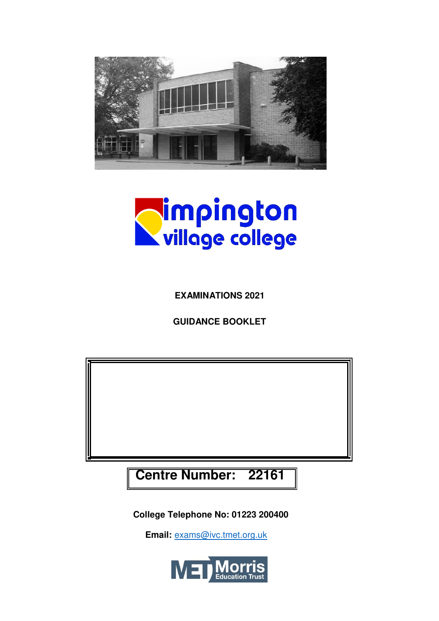



**EXAMINATIONS 2021**

**GUIDANCE BOOKLET**

**Centre Number: 22161**

**College Telephone No: 01223 200400**

 **Email:** [exams@ivc.tmet.org.uk](mailto:exams@ivc.tmet.org.uk)

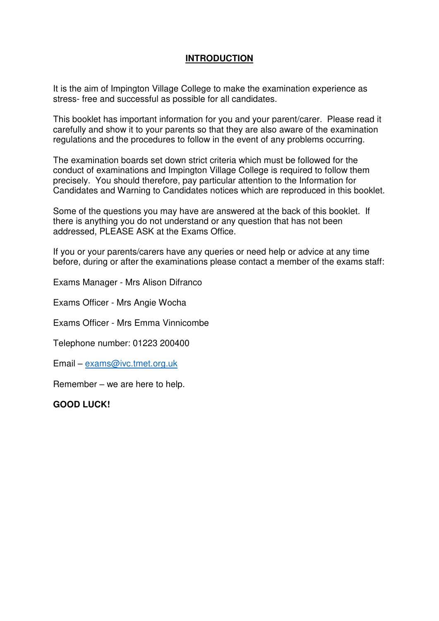# **INTRODUCTION**

It is the aim of Impington Village College to make the examination experience as stress- free and successful as possible for all candidates.

This booklet has important information for you and your parent/carer. Please read it carefully and show it to your parents so that they are also aware of the examination regulations and the procedures to follow in the event of any problems occurring.

The examination boards set down strict criteria which must be followed for the conduct of examinations and Impington Village College is required to follow them precisely. You should therefore, pay particular attention to the Information for Candidates and Warning to Candidates notices which are reproduced in this booklet.

Some of the questions you may have are answered at the back of this booklet. If there is anything you do not understand or any question that has not been addressed, PLEASE ASK at the Exams Office.

If you or your parents/carers have any queries or need help or advice at any time before, during or after the examinations please contact a member of the exams staff:

Exams Manager - Mrs Alison Difranco

Exams Officer - Mrs Angie Wocha

Exams Officer - Mrs Emma Vinnicombe

Telephone number: 01223 200400

Email – [exams@ivc.tmet.org.uk](mailto:exams@ivc.tmet.org.uk) 

Remember – we are here to help.

**GOOD LUCK!**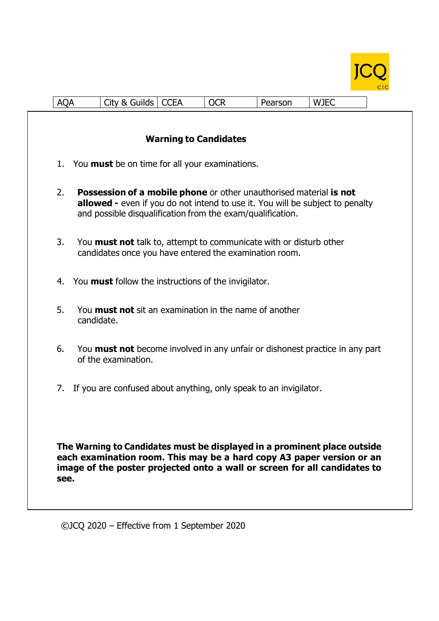

| <b>AQA</b> |                                                                                                                                                                                                                                        | City & Guilds   CCEA |                              | <b>OCR</b>                                                                                                                              | Pearson | <b>WJEC</b>                                                                          |
|------------|----------------------------------------------------------------------------------------------------------------------------------------------------------------------------------------------------------------------------------------|----------------------|------------------------------|-----------------------------------------------------------------------------------------------------------------------------------------|---------|--------------------------------------------------------------------------------------|
|            |                                                                                                                                                                                                                                        |                      | <b>Warning to Candidates</b> |                                                                                                                                         |         |                                                                                      |
| 1.         |                                                                                                                                                                                                                                        |                      |                              | You <b>must</b> be on time for all your examinations.                                                                                   |         |                                                                                      |
| 2.         |                                                                                                                                                                                                                                        |                      |                              | <b>Possession of a mobile phone</b> or other unauthorised material is not<br>and possible disqualification from the exam/qualification. |         | <b>allowed</b> - even if you do not intend to use it. You will be subject to penalty |
| 3.         |                                                                                                                                                                                                                                        |                      |                              | You <b>must not</b> talk to, attempt to communicate with or disturb other<br>candidates once you have entered the examination room.     |         |                                                                                      |
| 4.         |                                                                                                                                                                                                                                        |                      |                              | You <b>must</b> follow the instructions of the invigilator.                                                                             |         |                                                                                      |
| 5.         | candidate.                                                                                                                                                                                                                             |                      |                              | You <b>must not</b> sit an examination in the name of another                                                                           |         |                                                                                      |
| 6.         |                                                                                                                                                                                                                                        | of the examination.  |                              |                                                                                                                                         |         | You <b>must not</b> become involved in any unfair or dishonest practice in any part  |
| 7.         |                                                                                                                                                                                                                                        |                      |                              | If you are confused about anything, only speak to an invigilator.                                                                       |         |                                                                                      |
|            | The Warning to Candidates must be displayed in a prominent place outside<br>each examination room. This may be a hard copy A3 paper version or an<br>image of the poster projected onto a wall or screen for all candidates to<br>see. |                      |                              |                                                                                                                                         |         |                                                                                      |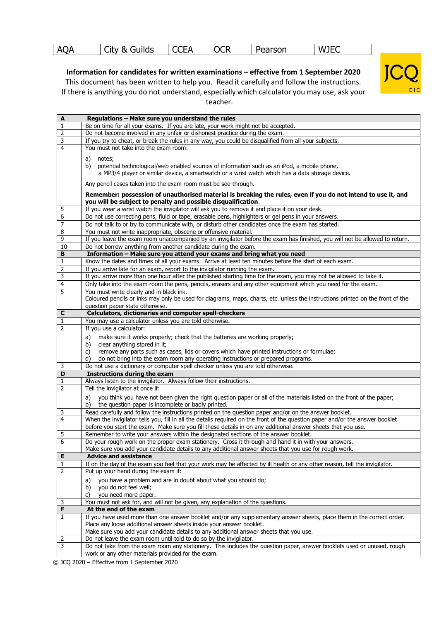|  | <b>AQA</b> | uilds<br>X.<br>w<br>UL. | ~~~ •<br>- 11 | ^^^<br><b>OCK</b> | Pearson | ∟ W]F⊂<br>りコロー |  |
|--|------------|-------------------------|---------------|-------------------|---------|----------------|--|
|--|------------|-------------------------|---------------|-------------------|---------|----------------|--|

**Information for candidates for written examinations – effective from 1 September 2020** This document has been written to help you. Read it carefully and follow the instructions. If there is anything you do not understand, especially which calculator you may use, ask your



teacher.

| $\boldsymbol{A}$ | Regulations - Make sure you understand the rules                                                                               |
|------------------|--------------------------------------------------------------------------------------------------------------------------------|
| $\mathbf{1}$     | Be on time for all your exams. If you are late, your work might not be accepted.                                               |
| $\overline{2}$   | Do not become involved in any unfair or dishonest practice during the exam.                                                    |
| 3                | If you try to cheat, or break the rules in any way, you could be disqualified from all your subjects.                          |
| $\overline{4}$   | You must not take into the exam room:                                                                                          |
|                  |                                                                                                                                |
|                  | a)<br>notes;                                                                                                                   |
|                  | b)<br>potential technological/web enabled sources of information such as an iPod, a mobile phone,                              |
|                  | a MP3/4 player or similar device, a smartwatch or a wrist watch which has a data storage device.                               |
|                  | Any pencil cases taken into the exam room must be see-through.                                                                 |
|                  |                                                                                                                                |
|                  | Remember: possession of unauthorised material is breaking the rules, even if you do not intend to use it, and                  |
|                  | you will be subject to penalty and possible disqualification.                                                                  |
| 5                | If you wear a wrist watch the invigilator will ask you to remove it and place it on your desk.                                 |
| 6                | Do not use correcting pens, fluid or tape, erasable pens, highlighters or gel pens in your answers.                            |
| $\overline{7}$   | Do not talk to or try to communicate with, or disturb other candidates once the exam has started.                              |
| 8                | You must not write inappropriate, obscene or offensive material.                                                               |
| 9                | If you leave the exam room unaccompanied by an invigilator before the exam has finished, you will not be allowed to return.    |
| 10               | Do not borrow anything from another candidate during the exam.                                                                 |
| B                | Information - Make sure you attend your exams and bring what you need                                                          |
| $\mathbf{1}$     | Know the dates and times of all your exams. Arrive at least ten minutes before the start of each exam.                         |
| 2                | If you arrive late for an exam, report to the invigilator running the exam.                                                    |
| 3                | If you arrive more than one hour after the published starting time for the exam, you may not be allowed to take it.            |
| 4                | Only take into the exam room the pens, pencils, erasers and any other equipment which you need for the exam.                   |
| 5                | You must write clearly and in black ink.                                                                                       |
|                  | Coloured pencils or inks may only be used for diagrams, maps, charts, etc. unless the instructions printed on the front of the |
|                  | question paper state otherwise.                                                                                                |
| C                | <b>Calculators, dictionaries and computer spell-checkers</b>                                                                   |
| $\mathbf{1}$     | You may use a calculator unless you are told otherwise.                                                                        |
| $\overline{2}$   | If you use a calculator:                                                                                                       |
|                  |                                                                                                                                |
|                  | make sure it works properly; check that the batteries are working properly;<br>a)                                              |
|                  | clear anything stored in it;<br>b)                                                                                             |
|                  | remove any parts such as cases, lids or covers which have printed instructions or formulae;<br>C)                              |
|                  | do not bring into the exam room any operating instructions or prepared programs.<br>d)                                         |
| 3                | Do not use a dictionary or computer spell checker unless you are told otherwise.                                               |
| D                | <b>Instructions during the exam</b>                                                                                            |
| $\mathbf 1$      | Always listen to the invigilator. Always follow their instructions.                                                            |
| $\overline{2}$   | Tell the invigilator at once if:                                                                                               |
|                  | you think you have not been given the right question paper or all of the materials listed on the front of the paper;<br>a)     |
|                  | the question paper is incomplete or badly printed.<br>b)                                                                       |
| 3                | Read carefully and follow the instructions printed on the question paper and/or on the answer booklet.                         |
| $\overline{4}$   | When the invigilator tells you, fill in all the details required on the front of the question paper and/or the answer booklet  |
|                  | before you start the exam. Make sure you fill these details in on any additional answer sheets that you use.                   |
| 5                | Remember to write your answers within the designated sections of the answer booklet.                                           |
| 6                | Do your rough work on the proper exam stationery. Cross it through and hand it in with your answers.                           |
|                  | Make sure you add your candidate details to any additional answer sheets that you use for rough work.                          |
| Е                | <b>Advice and assistance</b>                                                                                                   |
| 1                | If on the day of the exam you feel that your work may be affected by ill health or any other reason, tell the invigilator.     |
| 2                | Put up your hand during the exam if:                                                                                           |
|                  |                                                                                                                                |
|                  | you have a problem and are in doubt about what you should do;<br>a)                                                            |
|                  | you do not feel well;<br>b)                                                                                                    |
|                  | you need more paper.<br>C)                                                                                                     |
| 3                | You must not ask for, and will not be given, any explanation of the questions.                                                 |
| F                | At the end of the exam                                                                                                         |
| 1                | If you have used more than one answer booklet and/or any supplementary answer sheets, place them in the correct order.         |
|                  | Place any loose additional answer sheets inside your answer booklet.                                                           |
|                  | Make sure you add your candidate details to any additional answer sheets that you use.                                         |
| 2                | Do not leave the exam room until told to do so by the invigilator.                                                             |
| 3                | Do not take from the exam room any stationery. This includes the question paper, answer booklets used or unused, rough         |
|                  | work or any other materials provided for the exam.                                                                             |
|                  | a ICO 2020 - Effective from 1 September 2020                                                                                   |

© JCQ 2020 – Effective from 1 September 2020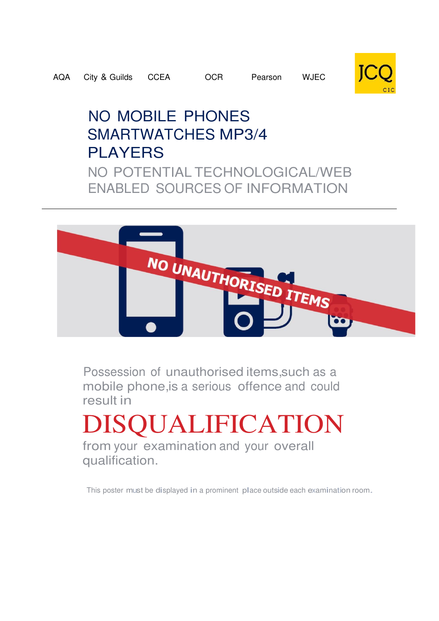

# NO MOBILE PHONES SMARTWATCHES MP3/4 PLAYERS NO POTENTIAL TECHNOLOGICAL/WEB ENABLED SOURCES OF INFORMATION



Possession of unauthorised items,such as a mobile phone,is a serious offence and could result in

DISQUALIFICATION

from your examination and your overall qualification.

This poster must be displayed in a prominent place outside each examination room.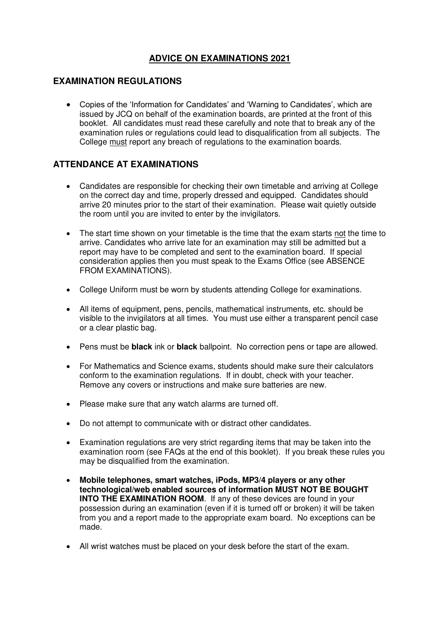# **ADVICE ON EXAMINATIONS 2021**

#### **EXAMINATION REGULATIONS**

 Copies of the 'Information for Candidates' and 'Warning to Candidates', which are issued by JCQ on behalf of the examination boards, are printed at the front of this booklet. All candidates must read these carefully and note that to break any of the examination rules or regulations could lead to disqualification from all subjects. The College must report any breach of regulations to the examination boards.

#### **ATTENDANCE AT EXAMINATIONS**

- Candidates are responsible for checking their own timetable and arriving at College on the correct day and time, properly dressed and equipped. Candidates should arrive 20 minutes prior to the start of their examination. Please wait quietly outside the room until you are invited to enter by the invigilators.
- The start time shown on your timetable is the time that the exam starts not the time to arrive. Candidates who arrive late for an examination may still be admitted but a report may have to be completed and sent to the examination board. If special consideration applies then you must speak to the Exams Office (see ABSENCE FROM EXAMINATIONS).
- College Uniform must be worn by students attending College for examinations.
- All items of equipment, pens, pencils, mathematical instruments, etc. should be visible to the invigilators at all times. You must use either a transparent pencil case or a clear plastic bag.
- Pens must be **black** ink or **black** ballpoint. No correction pens or tape are allowed.
- For Mathematics and Science exams, students should make sure their calculators conform to the examination regulations. If in doubt, check with your teacher. Remove any covers or instructions and make sure batteries are new.
- Please make sure that any watch alarms are turned off.
- Do not attempt to communicate with or distract other candidates.
- Examination regulations are very strict regarding items that may be taken into the examination room (see FAQs at the end of this booklet). If you break these rules you may be disqualified from the examination.
- **Mobile telephones, smart watches, iPods, MP3/4 players or any other technological/web enabled sources of information MUST NOT BE BOUGHT INTO THE EXAMINATION ROOM.** If any of these devices are found in your possession during an examination (even if it is turned off or broken) it will be taken from you and a report made to the appropriate exam board. No exceptions can be made.
- All wrist watches must be placed on your desk before the start of the exam.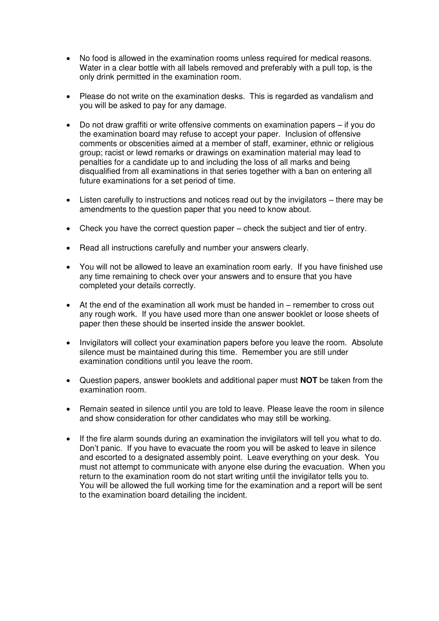- No food is allowed in the examination rooms unless required for medical reasons. Water in a clear bottle with all labels removed and preferably with a pull top, is the only drink permitted in the examination room.
- Please do not write on the examination desks. This is regarded as vandalism and you will be asked to pay for any damage.
- Do not draw graffiti or write offensive comments on examination papers if you do the examination board may refuse to accept your paper. Inclusion of offensive comments or obscenities aimed at a member of staff, examiner, ethnic or religious group; racist or lewd remarks or drawings on examination material may lead to penalties for a candidate up to and including the loss of all marks and being disqualified from all examinations in that series together with a ban on entering all future examinations for a set period of time.
- Listen carefully to instructions and notices read out by the invigilators there may be amendments to the question paper that you need to know about.
- Check you have the correct question paper check the subject and tier of entry.
- Read all instructions carefully and number your answers clearly.
- You will not be allowed to leave an examination room early. If you have finished use any time remaining to check over your answers and to ensure that you have completed your details correctly.
- At the end of the examination all work must be handed in remember to cross out any rough work. If you have used more than one answer booklet or loose sheets of paper then these should be inserted inside the answer booklet.
- Invigilators will collect your examination papers before you leave the room. Absolute silence must be maintained during this time. Remember you are still under examination conditions until you leave the room.
- Question papers, answer booklets and additional paper must **NOT** be taken from the examination room.
- Remain seated in silence until you are told to leave. Please leave the room in silence and show consideration for other candidates who may still be working.
- If the fire alarm sounds during an examination the invigilators will tell you what to do. Don't panic. If you have to evacuate the room you will be asked to leave in silence and escorted to a designated assembly point. Leave everything on your desk. You must not attempt to communicate with anyone else during the evacuation. When you return to the examination room do not start writing until the invigilator tells you to. You will be allowed the full working time for the examination and a report will be sent to the examination board detailing the incident.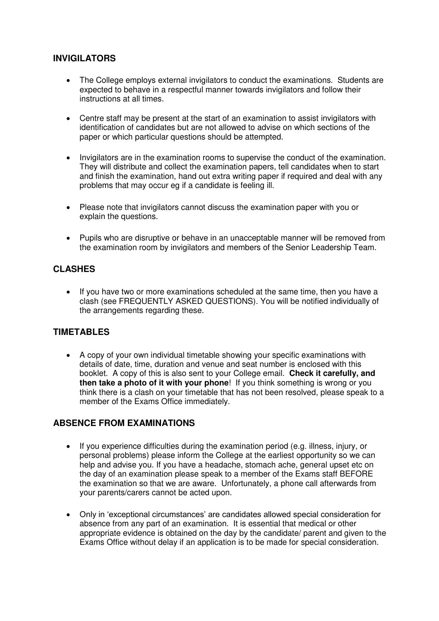#### **INVIGILATORS**

- The College employs external invigilators to conduct the examinations. Students are expected to behave in a respectful manner towards invigilators and follow their instructions at all times.
- Centre staff may be present at the start of an examination to assist invigilators with identification of candidates but are not allowed to advise on which sections of the paper or which particular questions should be attempted.
- Invigilators are in the examination rooms to supervise the conduct of the examination. They will distribute and collect the examination papers, tell candidates when to start and finish the examination, hand out extra writing paper if required and deal with any problems that may occur eg if a candidate is feeling ill.
- Please note that invigilators cannot discuss the examination paper with you or explain the questions.
- Pupils who are disruptive or behave in an unacceptable manner will be removed from the examination room by invigilators and members of the Senior Leadership Team.

#### **CLASHES**

 If you have two or more examinations scheduled at the same time, then you have a clash (see FREQUENTLY ASKED QUESTIONS). You will be notified individually of the arrangements regarding these.

#### **TIMETABLES**

 A copy of your own individual timetable showing your specific examinations with details of date, time, duration and venue and seat number is enclosed with this booklet. A copy of this is also sent to your College email. **Check it carefully, and then take a photo of it with your phone**! If you think something is wrong or you think there is a clash on your timetable that has not been resolved, please speak to a member of the Exams Office immediately.

#### **ABSENCE FROM EXAMINATIONS**

- If you experience difficulties during the examination period (e.g. illness, injury, or personal problems) please inform the College at the earliest opportunity so we can help and advise you. If you have a headache, stomach ache, general upset etc on the day of an examination please speak to a member of the Exams staff BEFORE the examination so that we are aware. Unfortunately, a phone call afterwards from your parents/carers cannot be acted upon.
- Only in 'exceptional circumstances' are candidates allowed special consideration for absence from any part of an examination. It is essential that medical or other appropriate evidence is obtained on the day by the candidate/ parent and given to the Exams Office without delay if an application is to be made for special consideration.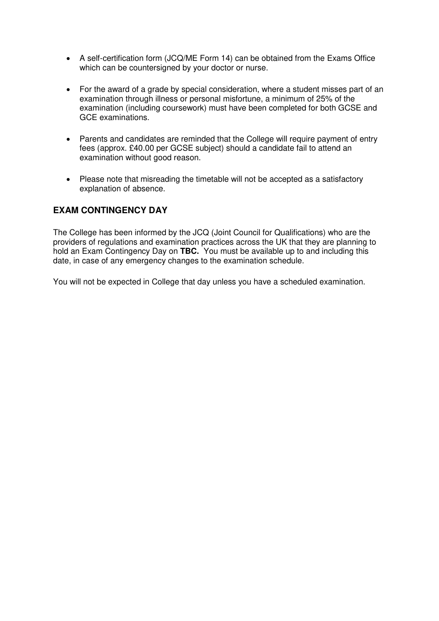- A self-certification form (JCQ/ME Form 14) can be obtained from the Exams Office which can be countersigned by your doctor or nurse.
- For the award of a grade by special consideration, where a student misses part of an examination through illness or personal misfortune, a minimum of 25% of the examination (including coursework) must have been completed for both GCSE and GCE examinations.
- Parents and candidates are reminded that the College will require payment of entry fees (approx. £40.00 per GCSE subject) should a candidate fail to attend an examination without good reason.
- Please note that misreading the timetable will not be accepted as a satisfactory explanation of absence.

#### **EXAM CONTINGENCY DAY**

The College has been informed by the JCQ (Joint Council for Qualifications) who are the providers of regulations and examination practices across the UK that they are planning to hold an Exam Contingency Day on **TBC.** You must be available up to and including this date, in case of any emergency changes to the examination schedule.

You will not be expected in College that day unless you have a scheduled examination.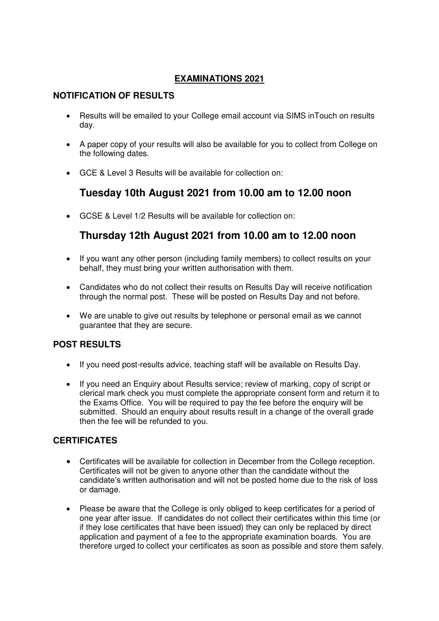#### **EXAMINATIONS 2021**

## **NOTIFICATION OF RESULTS**

- Results will be emailed to your College email account via SIMS inTouch on results day.
- A paper copy of your results will also be available for you to collect from College on the following dates.
- GCE & Level 3 Results will be available for collection on:

# **Tuesday 10th August 2021 from 10.00 am to 12.00 noon**

GCSE & Level 1/2 Results will be available for collection on:

# **Thursday 12th August 2021 from 10.00 am to 12.00 noon**

- If you want any other person (including family members) to collect results on your behalf, they must bring your written authorisation with them.
- Candidates who do not collect their results on Results Day will receive notification through the normal post. These will be posted on Results Day and not before.
- We are unable to give out results by telephone or personal email as we cannot guarantee that they are secure.

## **POST RESULTS**

- If you need post-results advice, teaching staff will be available on Results Day.
- If you need an Enquiry about Results service; review of marking, copy of script or clerical mark check you must complete the appropriate consent form and return it to the Exams Office. You will be required to pay the fee before the enquiry will be submitted. Should an enquiry about results result in a change of the overall grade then the fee will be refunded to you.

## **CERTIFICATES**

- Certificates will be available for collection in December from the College reception. Certificates will not be given to anyone other than the candidate without the candidate's written authorisation and will not be posted home due to the risk of loss or damage.
- Please be aware that the College is only obliged to keep certificates for a period of one year after issue. If candidates do not collect their certificates within this time (or if they lose certificates that have been issued) they can only be replaced by direct application and payment of a fee to the appropriate examination boards. You are therefore urged to collect your certificates as soon as possible and store them safely.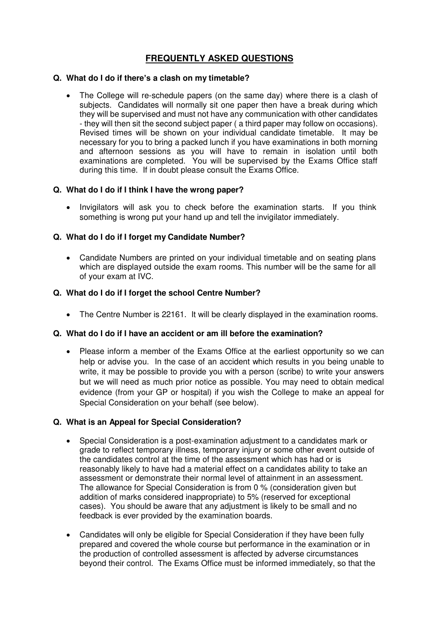# **FREQUENTLY ASKED QUESTIONS**

#### **Q. What do I do if there's a clash on my timetable?**

 The College will re-schedule papers (on the same day) where there is a clash of subjects. Candidates will normally sit one paper then have a break during which they will be supervised and must not have any communication with other candidates - they will then sit the second subject paper ( a third paper may follow on occasions). Revised times will be shown on your individual candidate timetable. It may be necessary for you to bring a packed lunch if you have examinations in both morning and afternoon sessions as you will have to remain in isolation until both examinations are completed. You will be supervised by the Exams Office staff during this time. If in doubt please consult the Exams Office.

#### **Q. What do I do if I think I have the wrong paper?**

 Invigilators will ask you to check before the examination starts. If you think something is wrong put your hand up and tell the invigilator immediately.

#### **Q. What do I do if I forget my Candidate Number?**

 Candidate Numbers are printed on your individual timetable and on seating plans which are displayed outside the exam rooms. This number will be the same for all of your exam at IVC.

#### **Q. What do I do if I forget the school Centre Number?**

The Centre Number is 22161. It will be clearly displayed in the examination rooms.

#### **Q. What do I do if I have an accident or am ill before the examination?**

 Please inform a member of the Exams Office at the earliest opportunity so we can help or advise you. In the case of an accident which results in you being unable to write, it may be possible to provide you with a person (scribe) to write your answers but we will need as much prior notice as possible. You may need to obtain medical evidence (from your GP or hospital) if you wish the College to make an appeal for Special Consideration on your behalf (see below).

#### **Q. What is an Appeal for Special Consideration?**

- Special Consideration is a post-examination adjustment to a candidates mark or grade to reflect temporary illness, temporary injury or some other event outside of the candidates control at the time of the assessment which has had or is reasonably likely to have had a material effect on a candidates ability to take an assessment or demonstrate their normal level of attainment in an assessment. The allowance for Special Consideration is from 0 % (consideration given but addition of marks considered inappropriate) to 5% (reserved for exceptional cases). You should be aware that any adjustment is likely to be small and no feedback is ever provided by the examination boards.
- Candidates will only be eligible for Special Consideration if they have been fully prepared and covered the whole course but performance in the examination or in the production of controlled assessment is affected by adverse circumstances beyond their control. The Exams Office must be informed immediately, so that the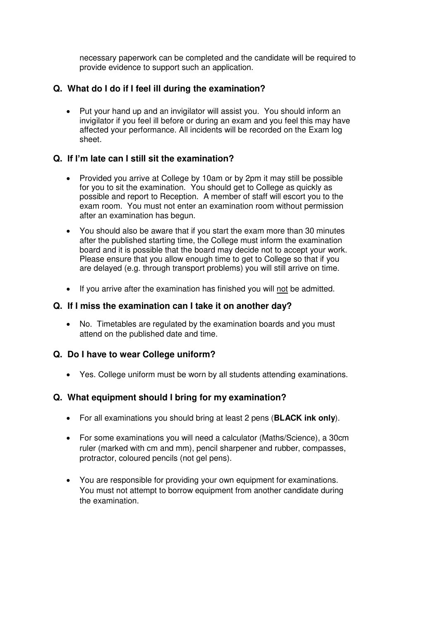necessary paperwork can be completed and the candidate will be required to provide evidence to support such an application.

#### **Q. What do I do if I feel ill during the examination?**

 Put your hand up and an invigilator will assist you. You should inform an invigilator if you feel ill before or during an exam and you feel this may have affected your performance. All incidents will be recorded on the Exam log sheet.

#### **Q. If I'm late can I still sit the examination?**

- Provided you arrive at College by 10am or by 2pm it may still be possible for you to sit the examination. You should get to College as quickly as possible and report to Reception. A member of staff will escort you to the exam room. You must not enter an examination room without permission after an examination has begun.
- You should also be aware that if you start the exam more than 30 minutes after the published starting time, the College must inform the examination board and it is possible that the board may decide not to accept your work. Please ensure that you allow enough time to get to College so that if you are delayed (e.g. through transport problems) you will still arrive on time.
- If you arrive after the examination has finished you will not be admitted.

#### **Q. If I miss the examination can I take it on another day?**

 No. Timetables are regulated by the examination boards and you must attend on the published date and time.

#### **Q. Do I have to wear College uniform?**

Yes. College uniform must be worn by all students attending examinations.

## **Q. What equipment should I bring for my examination?**

- For all examinations you should bring at least 2 pens (**BLACK ink only**).
- For some examinations you will need a calculator (Maths/Science), a 30cm ruler (marked with cm and mm), pencil sharpener and rubber, compasses, protractor, coloured pencils (not gel pens).
- You are responsible for providing your own equipment for examinations. You must not attempt to borrow equipment from another candidate during the examination.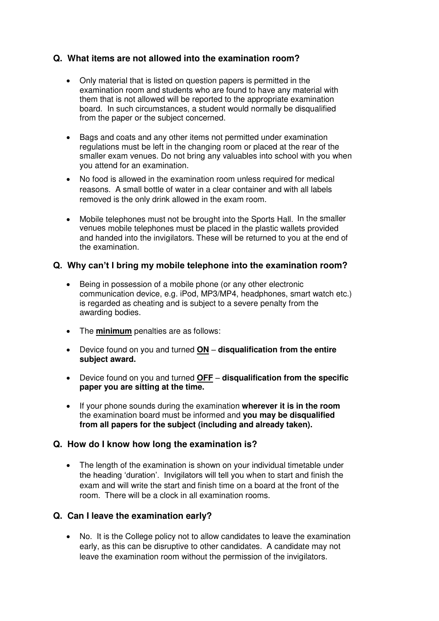## **Q. What items are not allowed into the examination room?**

- Only material that is listed on question papers is permitted in the examination room and students who are found to have any material with them that is not allowed will be reported to the appropriate examination board. In such circumstances, a student would normally be disqualified from the paper or the subject concerned.
- Bags and coats and any other items not permitted under examination regulations must be left in the changing room or placed at the rear of the smaller exam venues. Do not bring any valuables into school with you when you attend for an examination.
- No food is allowed in the examination room unless required for medical reasons. A small bottle of water in a clear container and with all labels removed is the only drink allowed in the exam room.
- Mobile telephones must not be brought into the Sports Hall. In the smaller venues mobile telephones must be placed in the plastic wallets provided and handed into the invigilators. These will be returned to you at the end of the examination.

#### **Q. Why can't I bring my mobile telephone into the examination room?**

- Being in possession of a mobile phone (or any other electronic communication device, e.g. iPod, MP3/MP4, headphones, smart watch etc.) is regarded as cheating and is subject to a severe penalty from the awarding bodies.
- The **minimum** penalties are as follows:
- Device found on you and turned **ON disqualification from the entire subject award.**
- Device found on you and turned **OFF disqualification from the specific paper you are sitting at the time.**
- If your phone sounds during the examination **wherever it is in the room** the examination board must be informed and **you may be disqualified from all papers for the subject (including and already taken).**

#### **Q. How do I know how long the examination is?**

• The length of the examination is shown on your individual timetable under the heading 'duration'. Invigilators will tell you when to start and finish the exam and will write the start and finish time on a board at the front of the room. There will be a clock in all examination rooms.

#### **Q. Can I leave the examination early?**

 No. It is the College policy not to allow candidates to leave the examination early, as this can be disruptive to other candidates. A candidate may not leave the examination room without the permission of the invigilators.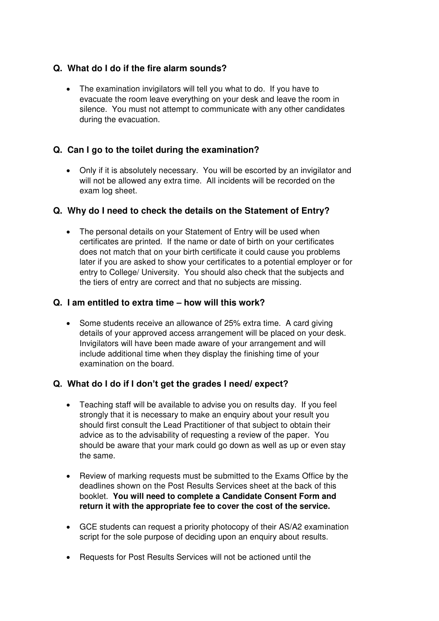#### **Q. What do I do if the fire alarm sounds?**

• The examination invigilators will tell you what to do. If you have to evacuate the room leave everything on your desk and leave the room in silence. You must not attempt to communicate with any other candidates during the evacuation.

#### **Q. Can I go to the toilet during the examination?**

 Only if it is absolutely necessary. You will be escorted by an invigilator and will not be allowed any extra time. All incidents will be recorded on the exam log sheet.

#### **Q. Why do I need to check the details on the Statement of Entry?**

• The personal details on your Statement of Entry will be used when certificates are printed. If the name or date of birth on your certificates does not match that on your birth certificate it could cause you problems later if you are asked to show your certificates to a potential employer or for entry to College/ University. You should also check that the subjects and the tiers of entry are correct and that no subjects are missing.

#### **Q. I am entitled to extra time – how will this work?**

 Some students receive an allowance of 25% extra time. A card giving details of your approved access arrangement will be placed on your desk. Invigilators will have been made aware of your arrangement and will include additional time when they display the finishing time of your examination on the board.

#### **Q. What do I do if I don't get the grades I need/ expect?**

- Teaching staff will be available to advise you on results day. If you feel strongly that it is necessary to make an enquiry about your result you should first consult the Lead Practitioner of that subject to obtain their advice as to the advisability of requesting a review of the paper. You should be aware that your mark could go down as well as up or even stay the same.
- Review of marking requests must be submitted to the Exams Office by the deadlines shown on the Post Results Services sheet at the back of this booklet. **You will need to complete a Candidate Consent Form and return it with the appropriate fee to cover the cost of the service.**
- GCE students can request a priority photocopy of their AS/A2 examination script for the sole purpose of deciding upon an enquiry about results.
- Requests for Post Results Services will not be actioned until the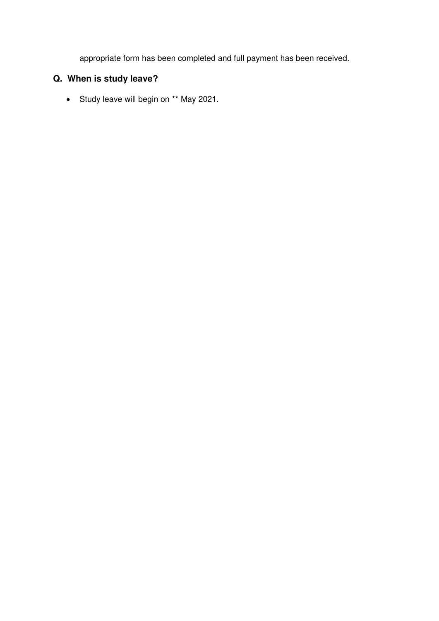appropriate form has been completed and full payment has been received.

# **Q. When is study leave?**

• Study leave will begin on \*\* May 2021.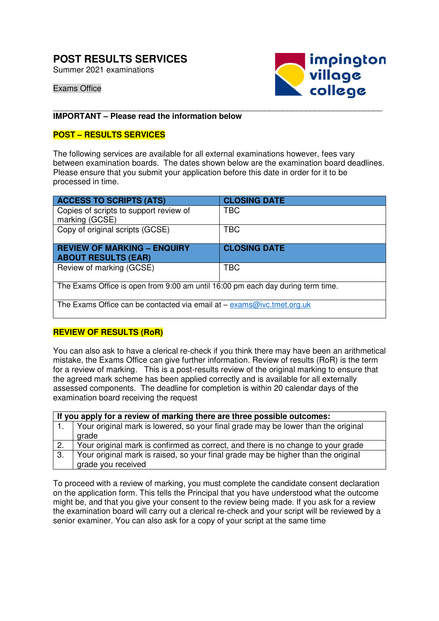# **POST RESULTS SERVICES**

Summer 2021 examinations



Exams Office

#### \_\_\_\_\_\_\_\_\_\_\_\_\_\_\_\_\_\_\_\_\_\_\_\_\_\_\_\_\_\_\_\_\_\_\_\_\_\_\_\_\_\_\_\_\_\_\_\_\_\_\_\_\_\_\_\_\_\_\_\_\_\_\_\_\_\_\_\_\_\_\_\_\_ **IMPORTANT – Please read the information below**

#### **POST – RESULTS SERVICES**

The following services are available for all external examinations however, fees vary between examination boards. The dates shown below are the examination board deadlines. Please ensure that you submit your application before this date in order for it to be processed in time.

| <b>ACCESS TO SCRIPTS (ATS)</b>                                                  | <b>CLOSING DATE</b> |  |  |
|---------------------------------------------------------------------------------|---------------------|--|--|
| Copies of scripts to support review of<br>marking (GCSE)                        | TBC                 |  |  |
| Copy of original scripts (GCSE)                                                 | <b>TBC</b>          |  |  |
| <b>REVIEW OF MARKING - ENQUIRY</b><br><b>ABOUT RESULTS (EAR)</b>                | <b>CLOSING DATE</b> |  |  |
| Review of marking (GCSE)                                                        | <b>TBC</b>          |  |  |
| The Exams Office is open from 9:00 am until 16:00 pm each day during term time. |                     |  |  |
| The Exams Office can be contacted via email at $-$ exams@ivc.tmet.org.uk        |                     |  |  |

#### **REVIEW OF RESULTS (RoR)**

You can also ask to have a clerical re-check if you think there may have been an arithmetical mistake, the Exams Office can give further information. Review of results (RoR) is the term for a review of marking. This is a post-results review of the original marking to ensure that the agreed mark scheme has been applied correctly and is available for all externally assessed components. The deadline for completion is within 20 calendar days of the examination board receiving the request

|     | If you apply for a review of marking there are three possible outcomes:           |  |  |  |  |
|-----|-----------------------------------------------------------------------------------|--|--|--|--|
|     | Your original mark is lowered, so your final grade may be lower than the original |  |  |  |  |
|     | grade                                                                             |  |  |  |  |
| 2.  | Your original mark is confirmed as correct, and there is no change to your grade  |  |  |  |  |
| -3. | Your original mark is raised, so your final grade may be higher than the original |  |  |  |  |
|     | grade you received                                                                |  |  |  |  |

To proceed with a review of marking, you must complete the candidate consent declaration on the application form. This tells the Principal that you have understood what the outcome might be, and that you give your consent to the review being made. If you ask for a review the examination board will carry out a clerical re-check and your script will be reviewed by a senior examiner. You can also ask for a copy of your script at the same time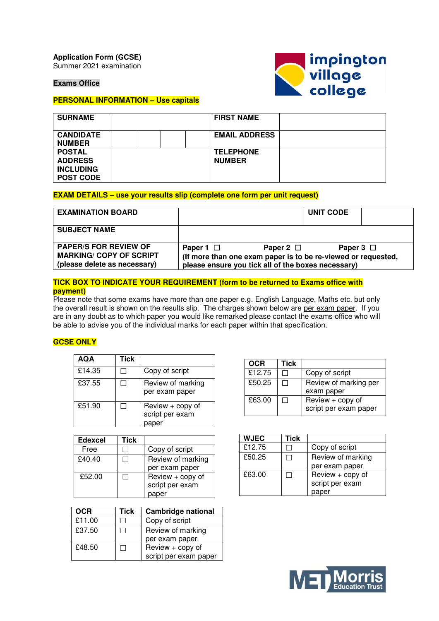**Application Form (GCSE)**  Summer 2021 examination

**Exams Office** 



#### **PERSONAL INFORMATION – Use capitals**

| <b>SURNAME</b>                                                          | <b>FIRST NAME</b>                 |  |
|-------------------------------------------------------------------------|-----------------------------------|--|
| <b>CANDIDATE</b><br><b>NUMBER</b>                                       | <b>EMAIL ADDRESS</b>              |  |
| <b>POSTAL</b><br><b>ADDRESS</b><br><b>INCLUDING</b><br><b>POST CODE</b> | <b>TELEPHONE</b><br><b>NUMBER</b> |  |

#### **EXAM DETAILS – use your results slip (complete one form per unit request)**

| <b>EXAMINATION BOARD</b>                                                                       |                                                                                                                                                         | <b>UNIT CODE</b> |  |
|------------------------------------------------------------------------------------------------|---------------------------------------------------------------------------------------------------------------------------------------------------------|------------------|--|
| <b>SUBJECT NAME</b>                                                                            |                                                                                                                                                         |                  |  |
| <b>PAPER/S FOR REVIEW OF</b><br><b>MARKING/ COPY OF SCRIPT</b><br>(please delete as necessary) | Paper 2 $\Box$<br>Paper 1 $\Box$<br>(If more than one exam paper is to be re-viewed or requested,<br>please ensure you tick all of the boxes necessary) | Paper $3$ $\Box$ |  |

#### **TICK BOX TO INDICATE YOUR REQUIREMENT (form to be returned to Exams office with payment)**

Please note that some exams have more than one paper e.g. English Language, Maths etc. but only the overall result is shown on the results slip. The charges shown below are per exam paper. If you are in any doubt as to which paper you would like remarked please contact the exams office who will be able to advise you of the individual marks for each paper within that specification.

#### **GCSE ONLY**

| AQA    | Tick |                                              |
|--------|------|----------------------------------------------|
| £14.35 |      | Copy of script                               |
| £37.55 |      | Review of marking<br>per exam paper          |
| £51.90 |      | Review + copy of<br>script per exam<br>paper |

| <b>Edexcel</b> | Tick |                   |
|----------------|------|-------------------|
| Free           |      | Copy of script    |
| £40.40         |      | Review of marking |
|                |      | per exam paper    |
| £52.00         |      | Review + copy of  |
|                |      | script per exam   |
|                |      | paper             |

| OCR    | Tick | <b>Cambridge national</b> |
|--------|------|---------------------------|
| £11.00 |      | Copy of script            |
| £37.50 |      | Review of marking         |
|        |      | per exam paper            |
| £48.50 |      | Review + copy of          |
|        |      | script per exam paper     |

| OCR    | Tick |                       |
|--------|------|-----------------------|
| £12.75 |      | Copy of script        |
| £50.25 |      | Review of marking per |
|        |      | exam paper            |
| £63.00 |      | Review + copy of      |
|        |      | script per exam paper |

| <b>WJEC</b> | Tick |                   |
|-------------|------|-------------------|
| £12.75      |      | Copy of script    |
| £50.25      |      | Review of marking |
|             |      | per exam paper    |
| £63.00      |      | Review + copy of  |
|             |      | script per exam   |
|             |      | per               |